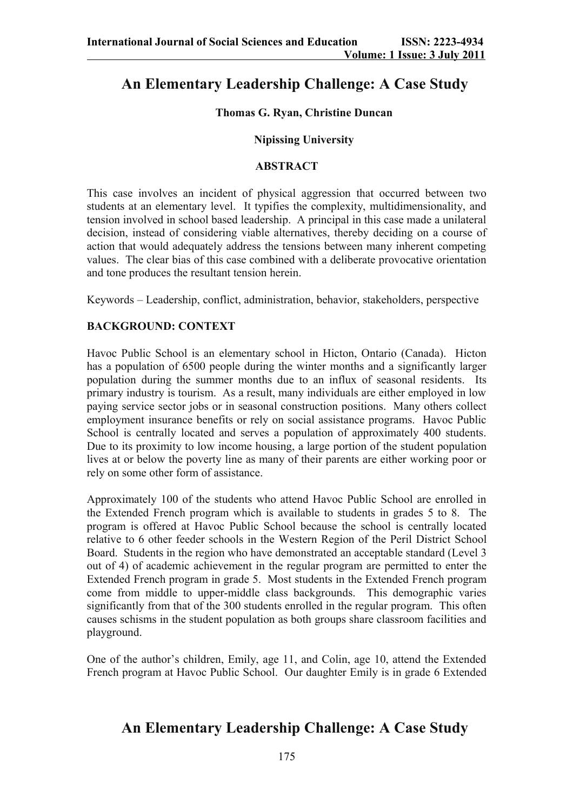# **An Elementary Leadership Challenge: A Case Study**

## **Thomas G. Ryan, Christine Duncan**

#### **Nipissing University**

#### **ABSTRACT**

This case involves an incident of physical aggression that occurred between two students at an elementary level. It typifies the complexity, multidimensionality, and tension involved in school based leadership. A principal in this case made a unilateral decision, instead of considering viable alternatives, thereby deciding on a course of action that would adequately address the tensions between many inherent competing values. The clear bias of this case combined with a deliberate provocative orientation and tone produces the resultant tension herein.

Keywords – Leadership, conflict, administration, behavior, stakeholders, perspective

## **BACKGROUND: CONTEXT**

Havoc Public School is an elementary school in Hicton, Ontario (Canada). Hicton has a population of 6500 people during the winter months and a significantly larger population during the summer months due to an influx of seasonal residents. Its primary industry is tourism. As a result, many individuals are either employed in low paying service sector jobs or in seasonal construction positions. Many others collect employment insurance benefits or rely on social assistance programs. Havoc Public School is centrally located and serves a population of approximately 400 students. Due to its proximity to low income housing, a large portion of the student population lives at or below the poverty line as many of their parents are either working poor or rely on some other form of assistance.

Approximately 100 of the students who attend Havoc Public School are enrolled in the Extended French program which is available to students in grades 5 to 8. The program is offered at Havoc Public School because the school is centrally located relative to 6 other feeder schools in the Western Region of the Peril District School Board. Students in the region who have demonstrated an acceptable standard (Level 3 out of 4) of academic achievement in the regular program are permitted to enter the Extended French program in grade 5. Most students in the Extended French program come from middle to upper-middle class backgrounds. This demographic varies significantly from that of the 300 students enrolled in the regular program. This often causes schisms in the student population as both groups share classroom facilities and playground.

One of the author's children, Emily, age 11, and Colin, age 10, attend the Extended French program at Havoc Public School. Our daughter Emily is in grade 6 Extended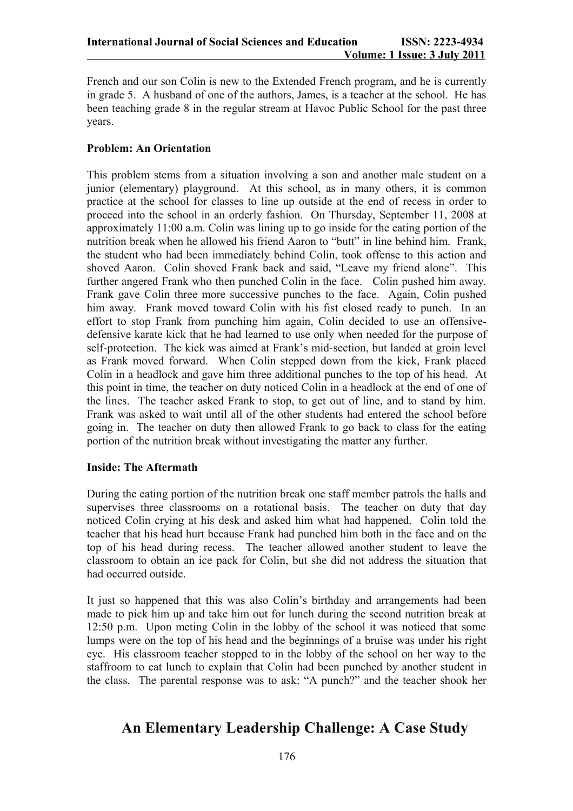French and our son Colin is new to the Extended French program, and he is currently in grade 5. A husband of one of the authors, James, is a teacher at the school. He has been teaching grade 8 in the regular stream at Havoc Public School for the past three years.

## **Problem: An Orientation**

This problem stems from a situation involving a son and another male student on a junior (elementary) playground. At this school, as in many others, it is common practice at the school for classes to line up outside at the end of recess in order to proceed into the school in an orderly fashion. On Thursday, September 11, 2008 at approximately 11:00 a.m. Colin was lining up to go inside for the eating portion of the nutrition break when he allowed his friend Aaron to "butt" in line behind him. Frank, the student who had been immediately behind Colin, took offense to this action and shoved Aaron. Colin shoved Frank back and said, "Leave my friend alone". This further angered Frank who then punched Colin in the face. Colin pushed him away. Frank gave Colin three more successive punches to the face. Again, Colin pushed him away. Frank moved toward Colin with his fist closed ready to punch. In an effort to stop Frank from punching him again, Colin decided to use an offensivedefensive karate kick that he had learned to use only when needed for the purpose of self-protection. The kick was aimed at Frank's mid-section, but landed at groin level as Frank moved forward. When Colin stepped down from the kick, Frank placed Colin in a headlock and gave him three additional punches to the top of his head. At this point in time, the teacher on duty noticed Colin in a headlock at the end of one of the lines. The teacher asked Frank to stop, to get out of line, and to stand by him. Frank was asked to wait until all of the other students had entered the school before going in. The teacher on duty then allowed Frank to go back to class for the eating portion of the nutrition break without investigating the matter any further.

## **Inside: The Aftermath**

During the eating portion of the nutrition break one staff member patrols the halls and supervises three classrooms on a rotational basis. The teacher on duty that day noticed Colin crying at his desk and asked him what had happened. Colin told the teacher that his head hurt because Frank had punched him both in the face and on the top of his head during recess. The teacher allowed another student to leave the classroom to obtain an ice pack for Colin, but she did not address the situation that had occurred outside.

It just so happened that this was also Colin's birthday and arrangements had been made to pick him up and take him out for lunch during the second nutrition break at 12:50 p.m. Upon meting Colin in the lobby of the school it was noticed that some lumps were on the top of his head and the beginnings of a bruise was under his right eye. His classroom teacher stopped to in the lobby of the school on her way to the staffroom to eat lunch to explain that Colin had been punched by another student in the class. The parental response was to ask: "A punch?" and the teacher shook her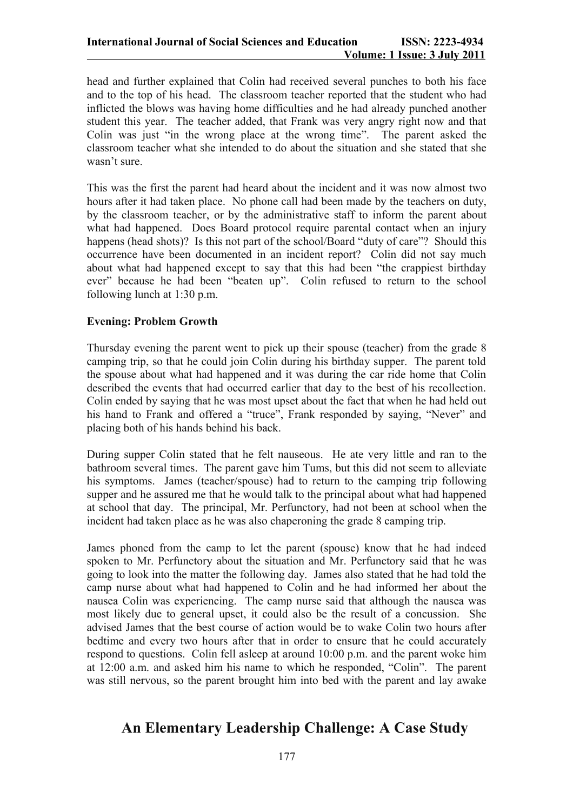head and further explained that Colin had received several punches to both his face and to the top of his head. The classroom teacher reported that the student who had inflicted the blows was having home difficulties and he had already punched another student this year. The teacher added, that Frank was very angry right now and that Colin was just "in the wrong place at the wrong time". The parent asked the classroom teacher what she intended to do about the situation and she stated that she wasn't sure.

This was the first the parent had heard about the incident and it was now almost two hours after it had taken place. No phone call had been made by the teachers on duty, by the classroom teacher, or by the administrative staff to inform the parent about what had happened. Does Board protocol require parental contact when an injury happens (head shots)? Is this not part of the school/Board "duty of care"? Should this occurrence have been documented in an incident report? Colin did not say much about what had happened except to say that this had been "the crappiest birthday ever" because he had been "beaten up". Colin refused to return to the school following lunch at 1:30 p.m.

### **Evening: Problem Growth**

Thursday evening the parent went to pick up their spouse (teacher) from the grade 8 camping trip, so that he could join Colin during his birthday supper. The parent told the spouse about what had happened and it was during the car ride home that Colin described the events that had occurred earlier that day to the best of his recollection. Colin ended by saying that he was most upset about the fact that when he had held out his hand to Frank and offered a "truce", Frank responded by saying, "Never" and placing both of his hands behind his back.

During supper Colin stated that he felt nauseous. He ate very little and ran to the bathroom several times. The parent gave him Tums, but this did not seem to alleviate his symptoms. James (teacher/spouse) had to return to the camping trip following supper and he assured me that he would talk to the principal about what had happened at school that day. The principal, Mr. Perfunctory, had not been at school when the incident had taken place as he was also chaperoning the grade 8 camping trip.

James phoned from the camp to let the parent (spouse) know that he had indeed spoken to Mr. Perfunctory about the situation and Mr. Perfunctory said that he was going to look into the matter the following day. James also stated that he had told the camp nurse about what had happened to Colin and he had informed her about the nausea Colin was experiencing. The camp nurse said that although the nausea was most likely due to general upset, it could also be the result of a concussion. She advised James that the best course of action would be to wake Colin two hours after bedtime and every two hours after that in order to ensure that he could accurately respond to questions. Colin fell asleep at around 10:00 p.m. and the parent woke him at 12:00 a.m. and asked him his name to which he responded, "Colin". The parent was still nervous, so the parent brought him into bed with the parent and lay awake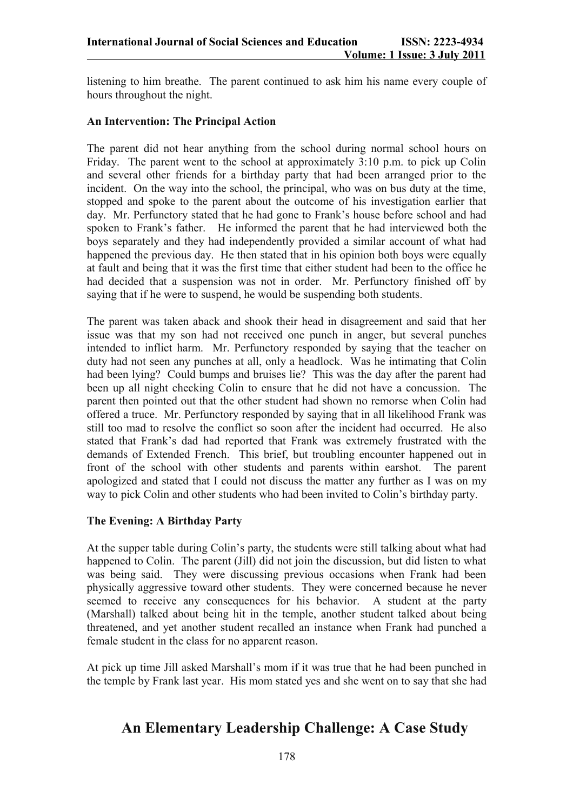listening to him breathe. The parent continued to ask him his name every couple of hours throughout the night.

### **An Intervention: The Principal Action**

The parent did not hear anything from the school during normal school hours on Friday. The parent went to the school at approximately 3:10 p.m. to pick up Colin and several other friends for a birthday party that had been arranged prior to the incident. On the way into the school, the principal, who was on bus duty at the time, stopped and spoke to the parent about the outcome of his investigation earlier that day. Mr. Perfunctory stated that he had gone to Frank's house before school and had spoken to Frank's father. He informed the parent that he had interviewed both the boys separately and they had independently provided a similar account of what had happened the previous day. He then stated that in his opinion both boys were equally at fault and being that it was the first time that either student had been to the office he had decided that a suspension was not in order. Mr. Perfunctory finished off by saying that if he were to suspend, he would be suspending both students.

The parent was taken aback and shook their head in disagreement and said that her issue was that my son had not received one punch in anger, but several punches intended to inflict harm. Mr. Perfunctory responded by saying that the teacher on duty had not seen any punches at all, only a headlock. Was he intimating that Colin had been lying? Could bumps and bruises lie? This was the day after the parent had been up all night checking Colin to ensure that he did not have a concussion. The parent then pointed out that the other student had shown no remorse when Colin had offered a truce. Mr. Perfunctory responded by saying that in all likelihood Frank was still too mad to resolve the conflict so soon after the incident had occurred. He also stated that Frank's dad had reported that Frank was extremely frustrated with the demands of Extended French. This brief, but troubling encounter happened out in front of the school with other students and parents within earshot. The parent apologized and stated that I could not discuss the matter any further as I was on my way to pick Colin and other students who had been invited to Colin's birthday party.

## **The Evening: A Birthday Party**

At the supper table during Colin's party, the students were still talking about what had happened to Colin. The parent (Jill) did not join the discussion, but did listen to what was being said. They were discussing previous occasions when Frank had been physically aggressive toward other students. They were concerned because he never seemed to receive any consequences for his behavior. A student at the party (Marshall) talked about being hit in the temple, another student talked about being threatened, and yet another student recalled an instance when Frank had punched a female student in the class for no apparent reason.

At pick up time Jill asked Marshall's mom if it was true that he had been punched in the temple by Frank last year. His mom stated yes and she went on to say that she had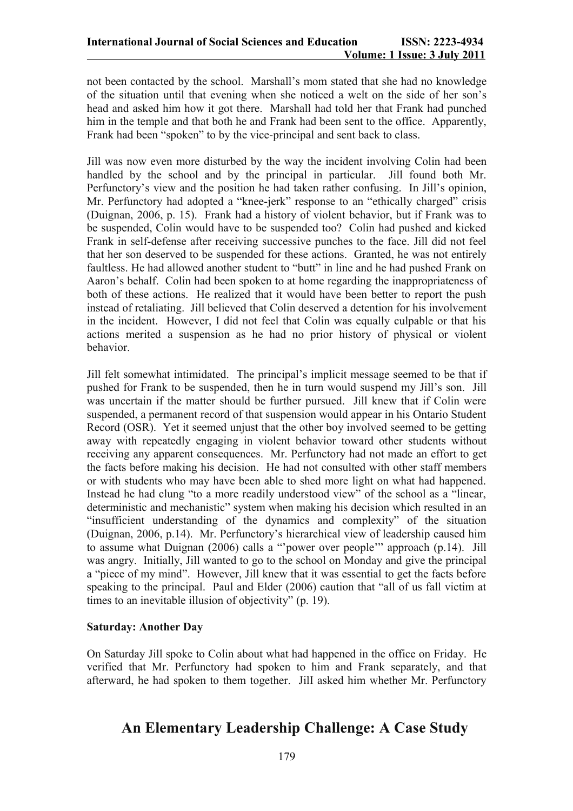not been contacted by the school. Marshall's mom stated that she had no knowledge of the situation until that evening when she noticed a welt on the side of her son's head and asked him how it got there. Marshall had told her that Frank had punched him in the temple and that both he and Frank had been sent to the office. Apparently, Frank had been "spoken" to by the vice-principal and sent back to class.

Jill was now even more disturbed by the way the incident involving Colin had been handled by the school and by the principal in particular. Jill found both Mr. Perfunctory's view and the position he had taken rather confusing. In Jill's opinion, Mr. Perfunctory had adopted a "knee-jerk" response to an "ethically charged" crisis (Duignan, 2006, p. 15). Frank had a history of violent behavior, but if Frank was to be suspended, Colin would have to be suspended too? Colin had pushed and kicked Frank in self-defense after receiving successive punches to the face. Jill did not feel that her son deserved to be suspended for these actions. Granted, he was not entirely faultless. He had allowed another student to "butt" in line and he had pushed Frank on Aaron's behalf. Colin had been spoken to at home regarding the inappropriateness of both of these actions. He realized that it would have been better to report the push instead of retaliating. Jill believed that Colin deserved a detention for his involvement in the incident. However, I did not feel that Colin was equally culpable or that his actions merited a suspension as he had no prior history of physical or violent behavior.

Jill felt somewhat intimidated. The principal's implicit message seemed to be that if pushed for Frank to be suspended, then he in turn would suspend my Jill's son. Jill was uncertain if the matter should be further pursued. Jill knew that if Colin were suspended, a permanent record of that suspension would appear in his Ontario Student Record (OSR). Yet it seemed unjust that the other boy involved seemed to be getting away with repeatedly engaging in violent behavior toward other students without receiving any apparent consequences. Mr. Perfunctory had not made an effort to get the facts before making his decision. He had not consulted with other staff members or with students who may have been able to shed more light on what had happened. Instead he had clung "to a more readily understood view" of the school as a "linear, deterministic and mechanistic" system when making his decision which resulted in an "insufficient understanding of the dynamics and complexity" of the situation (Duignan, 2006, p.14). Mr. Perfunctory's hierarchical view of leadership caused him to assume what Duignan (2006) calls a "'power over people'" approach (p.14). Jill was angry. Initially, Jill wanted to go to the school on Monday and give the principal a "piece of my mind". However, Jill knew that it was essential to get the facts before speaking to the principal. Paul and Elder (2006) caution that "all of us fall victim at times to an inevitable illusion of objectivity" (p. 19).

## **Saturday: Another Day**

On Saturday Jill spoke to Colin about what had happened in the office on Friday. He verified that Mr. Perfunctory had spoken to him and Frank separately, and that afterward, he had spoken to them together. JilI asked him whether Mr. Perfunctory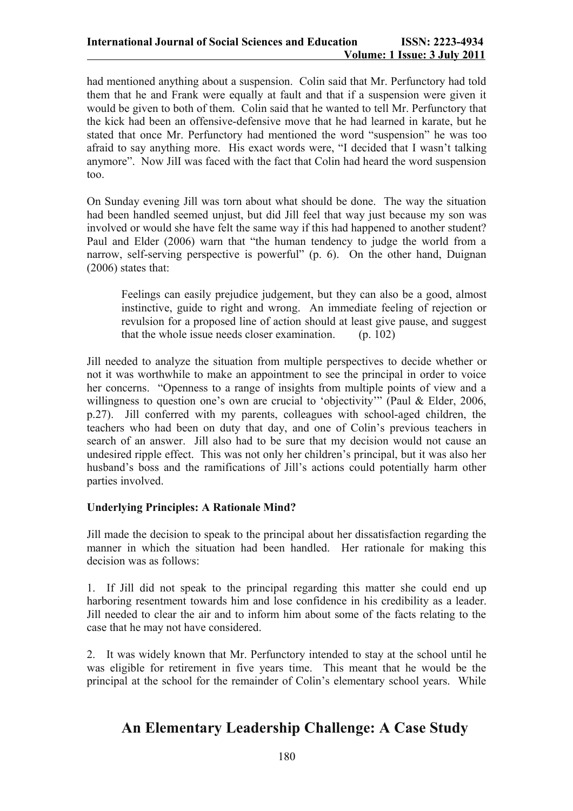had mentioned anything about a suspension. Colin said that Mr. Perfunctory had told them that he and Frank were equally at fault and that if a suspension were given it would be given to both of them. Colin said that he wanted to tell Mr. Perfunctory that the kick had been an offensive-defensive move that he had learned in karate, but he stated that once Mr. Perfunctory had mentioned the word "suspension" he was too afraid to say anything more. His exact words were, "I decided that I wasn't talking anymore". Now JilI was faced with the fact that Colin had heard the word suspension too.

On Sunday evening Jill was torn about what should be done. The way the situation had been handled seemed unjust, but did Jill feel that way just because my son was involved or would she have felt the same way if this had happened to another student? Paul and Elder (2006) warn that "the human tendency to judge the world from a narrow, self-serving perspective is powerful" (p. 6). On the other hand, Duignan (2006) states that:

Feelings can easily prejudice judgement, but they can also be a good, almost instinctive, guide to right and wrong. An immediate feeling of rejection or revulsion for a proposed line of action should at least give pause, and suggest that the whole issue needs closer examination.  $(p, 102)$ 

Jill needed to analyze the situation from multiple perspectives to decide whether or not it was worthwhile to make an appointment to see the principal in order to voice her concerns. "Openness to a range of insights from multiple points of view and a willingness to question one's own are crucial to 'objectivity'" (Paul & Elder, 2006, p.27). Jill conferred with my parents, colleagues with school-aged children, the teachers who had been on duty that day, and one of Colin's previous teachers in search of an answer. Jill also had to be sure that my decision would not cause an undesired ripple effect. This was not only her children's principal, but it was also her husband's boss and the ramifications of Jill's actions could potentially harm other parties involved.

#### **Underlying Principles: A Rationale Mind?**

Jill made the decision to speak to the principal about her dissatisfaction regarding the manner in which the situation had been handled. Her rationale for making this decision was as follows:

1. If Jill did not speak to the principal regarding this matter she could end up harboring resentment towards him and lose confidence in his credibility as a leader. Jill needed to clear the air and to inform him about some of the facts relating to the case that he may not have considered.

2. It was widely known that Mr. Perfunctory intended to stay at the school until he was eligible for retirement in five years time. This meant that he would be the principal at the school for the remainder of Colin's elementary school years. While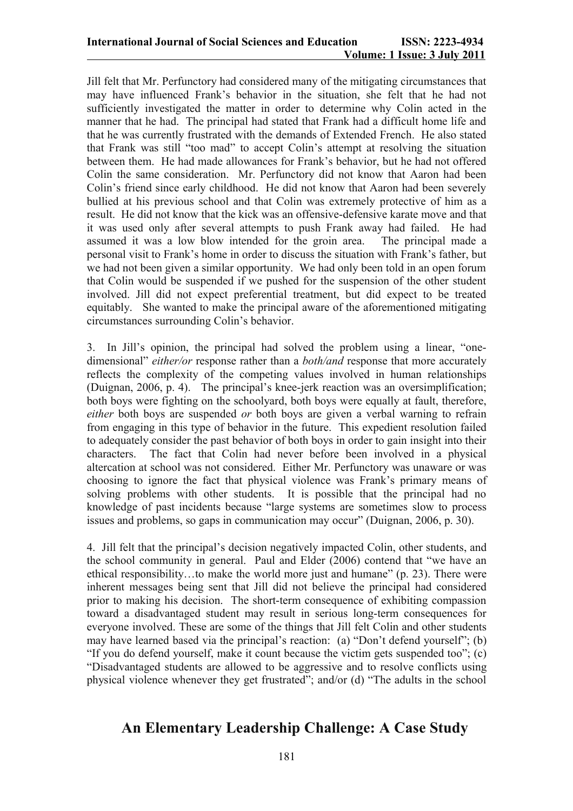Jill felt that Mr. Perfunctory had considered many of the mitigating circumstances that may have influenced Frank's behavior in the situation, she felt that he had not sufficiently investigated the matter in order to determine why Colin acted in the manner that he had. The principal had stated that Frank had a difficult home life and that he was currently frustrated with the demands of Extended French. He also stated that Frank was still "too mad" to accept Colin's attempt at resolving the situation between them. He had made allowances for Frank's behavior, but he had not offered Colin the same consideration. Mr. Perfunctory did not know that Aaron had been Colin's friend since early childhood. He did not know that Aaron had been severely bullied at his previous school and that Colin was extremely protective of him as a result. He did not know that the kick was an offensive-defensive karate move and that it was used only after several attempts to push Frank away had failed. He had assumed it was a low blow intended for the groin area. The principal made a personal visit to Frank's home in order to discuss the situation with Frank's father, but we had not been given a similar opportunity. We had only been told in an open forum that Colin would be suspended if we pushed for the suspension of the other student involved. Jill did not expect preferential treatment, but did expect to be treated equitably. She wanted to make the principal aware of the aforementioned mitigating circumstances surrounding Colin's behavior.

3. In Jill's opinion, the principal had solved the problem using a linear, "onedimensional" *either/or* response rather than a *both/and* response that more accurately reflects the complexity of the competing values involved in human relationships (Duignan, 2006, p. 4). The principal's knee-jerk reaction was an oversimplification; both boys were fighting on the schoolyard, both boys were equally at fault, therefore, *either* both boys are suspended *or* both boys are given a verbal warning to refrain from engaging in this type of behavior in the future. This expedient resolution failed to adequately consider the past behavior of both boys in order to gain insight into their characters. The fact that Colin had never before been involved in a physical altercation at school was not considered. Either Mr. Perfunctory was unaware or was choosing to ignore the fact that physical violence was Frank's primary means of solving problems with other students. It is possible that the principal had no knowledge of past incidents because "large systems are sometimes slow to process issues and problems, so gaps in communication may occur" (Duignan, 2006, p. 30).

4. Jill felt that the principal's decision negatively impacted Colin, other students, and the school community in general. Paul and Elder (2006) contend that "we have an ethical responsibility…to make the world more just and humane" (p. 23). There were inherent messages being sent that Jill did not believe the principal had considered prior to making his decision. The short-term consequence of exhibiting compassion toward a disadvantaged student may result in serious long-term consequences for everyone involved. These are some of the things that Jill felt Colin and other students may have learned based via the principal's reaction: (a) "Don't defend yourself"; (b) "If you do defend yourself, make it count because the victim gets suspended too"; (c) "Disadvantaged students are allowed to be aggressive and to resolve conflicts using physical violence whenever they get frustrated"; and/or (d) "The adults in the school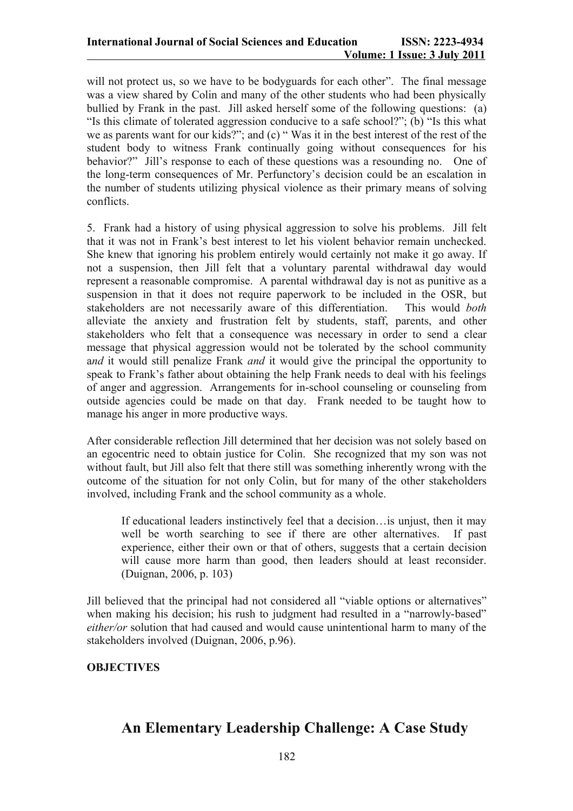will not protect us, so we have to be bodyguards for each other". The final message was a view shared by Colin and many of the other students who had been physically bullied by Frank in the past. Jill asked herself some of the following questions: (a) "Is this climate of tolerated aggression conducive to a safe school?"; (b) "Is this what we as parents want for our kids?"; and (c) "Was it in the best interest of the rest of the student body to witness Frank continually going without consequences for his behavior?" Jill's response to each of these questions was a resounding no. One of the long-term consequences of Mr. Perfunctory's decision could be an escalation in the number of students utilizing physical violence as their primary means of solving conflicts.

5. Frank had a history of using physical aggression to solve his problems. Jill felt that it was not in Frank's best interest to let his violent behavior remain unchecked. She knew that ignoring his problem entirely would certainly not make it go away. If not a suspension, then Jill felt that a voluntary parental withdrawal day would represent a reasonable compromise. A parental withdrawal day is not as punitive as a suspension in that it does not require paperwork to be included in the OSR, but stakeholders are not necessarily aware of this differentiation. This would *both* alleviate the anxiety and frustration felt by students, staff, parents, and other stakeholders who felt that a consequence was necessary in order to send a clear message that physical aggression would not be tolerated by the school community a*nd* it would still penalize Frank *and* it would give the principal the opportunity to speak to Frank's father about obtaining the help Frank needs to deal with his feelings of anger and aggression. Arrangements for in-school counseling or counseling from outside agencies could be made on that day. Frank needed to be taught how to manage his anger in more productive ways.

After considerable reflection Jill determined that her decision was not solely based on an egocentric need to obtain justice for Colin. She recognized that my son was not without fault, but Jill also felt that there still was something inherently wrong with the outcome of the situation for not only Colin, but for many of the other stakeholders involved, including Frank and the school community as a whole.

If educational leaders instinctively feel that a decision…is unjust, then it may well be worth searching to see if there are other alternatives. If past experience, either their own or that of others, suggests that a certain decision will cause more harm than good, then leaders should at least reconsider. (Duignan, 2006, p. 103)

Jill believed that the principal had not considered all "viable options or alternatives" when making his decision; his rush to judgment had resulted in a "narrowly-based" *either/or* solution that had caused and would cause unintentional harm to many of the stakeholders involved (Duignan, 2006, p.96).

## **OBJECTIVES**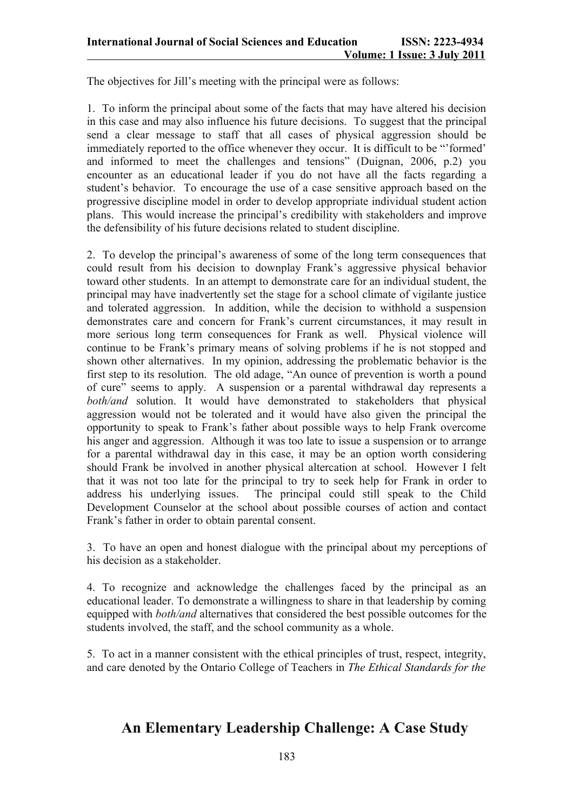The objectives for Jill's meeting with the principal were as follows:

1. To inform the principal about some of the facts that may have altered his decision in this case and may also influence his future decisions. To suggest that the principal send a clear message to staff that all cases of physical aggression should be immediately reported to the office whenever they occur. It is difficult to be "'formed' and informed to meet the challenges and tensions" (Duignan, 2006, p.2) you encounter as an educational leader if you do not have all the facts regarding a student's behavior. To encourage the use of a case sensitive approach based on the progressive discipline model in order to develop appropriate individual student action plans. This would increase the principal's credibility with stakeholders and improve the defensibility of his future decisions related to student discipline.

2. To develop the principal's awareness of some of the long term consequences that could result from his decision to downplay Frank's aggressive physical behavior toward other students. In an attempt to demonstrate care for an individual student, the principal may have inadvertently set the stage for a school climate of vigilante justice and tolerated aggression. In addition, while the decision to withhold a suspension demonstrates care and concern for Frank's current circumstances, it may result in more serious long term consequences for Frank as well. Physical violence will continue to be Frank's primary means of solving problems if he is not stopped and shown other alternatives. In my opinion, addressing the problematic behavior is the first step to its resolution. The old adage, "An ounce of prevention is worth a pound of cure" seems to apply. A suspension or a parental withdrawal day represents a *both/and* solution. It would have demonstrated to stakeholders that physical aggression would not be tolerated and it would have also given the principal the opportunity to speak to Frank's father about possible ways to help Frank overcome his anger and aggression. Although it was too late to issue a suspension or to arrange for a parental withdrawal day in this case, it may be an option worth considering should Frank be involved in another physical altercation at school. However I felt that it was not too late for the principal to try to seek help for Frank in order to address his underlying issues. The principal could still speak to the Child Development Counselor at the school about possible courses of action and contact Frank's father in order to obtain parental consent.

3. To have an open and honest dialogue with the principal about my perceptions of his decision as a stakeholder.

4. To recognize and acknowledge the challenges faced by the principal as an educational leader. To demonstrate a willingness to share in that leadership by coming equipped with *both/and* alternatives that considered the best possible outcomes for the students involved, the staff, and the school community as a whole.

5. To act in a manner consistent with the ethical principles of trust, respect, integrity, and care denoted by the Ontario College of Teachers in *The Ethical Standards for the*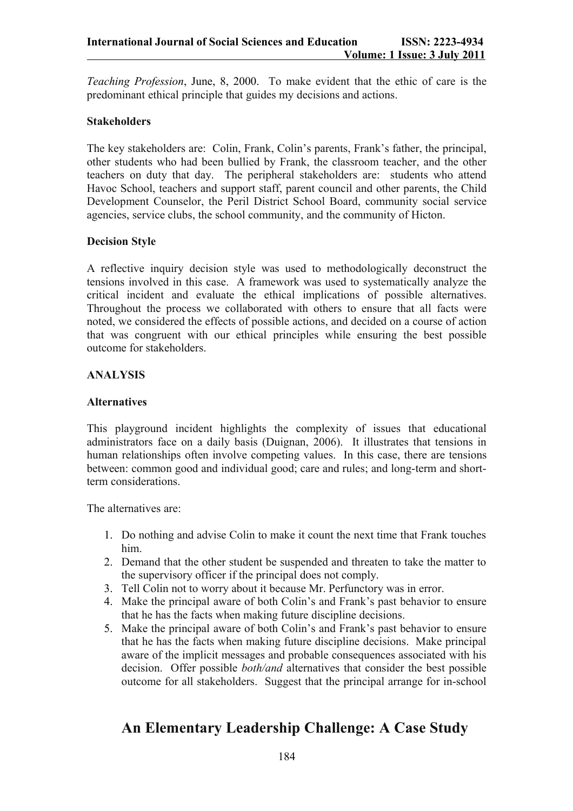*Teaching Profession*, June, 8, 2000. To make evident that the ethic of care is the predominant ethical principle that guides my decisions and actions.

## **Stakeholders**

The key stakeholders are: Colin, Frank, Colin's parents, Frank's father, the principal, other students who had been bullied by Frank, the classroom teacher, and the other teachers on duty that day. The peripheral stakeholders are: students who attend Havoc School, teachers and support staff, parent council and other parents, the Child Development Counselor, the Peril District School Board, community social service agencies, service clubs, the school community, and the community of Hicton.

### **Decision Style**

A reflective inquiry decision style was used to methodologically deconstruct the tensions involved in this case. A framework was used to systematically analyze the critical incident and evaluate the ethical implications of possible alternatives. Throughout the process we collaborated with others to ensure that all facts were noted, we considered the effects of possible actions, and decided on a course of action that was congruent with our ethical principles while ensuring the best possible outcome for stakeholders.

### **ANALYSIS**

### **Alternatives**

This playground incident highlights the complexity of issues that educational administrators face on a daily basis (Duignan, 2006). It illustrates that tensions in human relationships often involve competing values. In this case, there are tensions between: common good and individual good; care and rules; and long-term and shortterm considerations.

The alternatives are:

- 1. Do nothing and advise Colin to make it count the next time that Frank touches him.
- 2. Demand that the other student be suspended and threaten to take the matter to the supervisory officer if the principal does not comply.
- 3. Tell Colin not to worry about it because Mr. Perfunctory was in error.
- 4. Make the principal aware of both Colin's and Frank's past behavior to ensure that he has the facts when making future discipline decisions.
- 5. Make the principal aware of both Colin's and Frank's past behavior to ensure that he has the facts when making future discipline decisions. Make principal aware of the implicit messages and probable consequences associated with his decision. Offer possible *both/and* alternatives that consider the best possible outcome for all stakeholders. Suggest that the principal arrange for in-school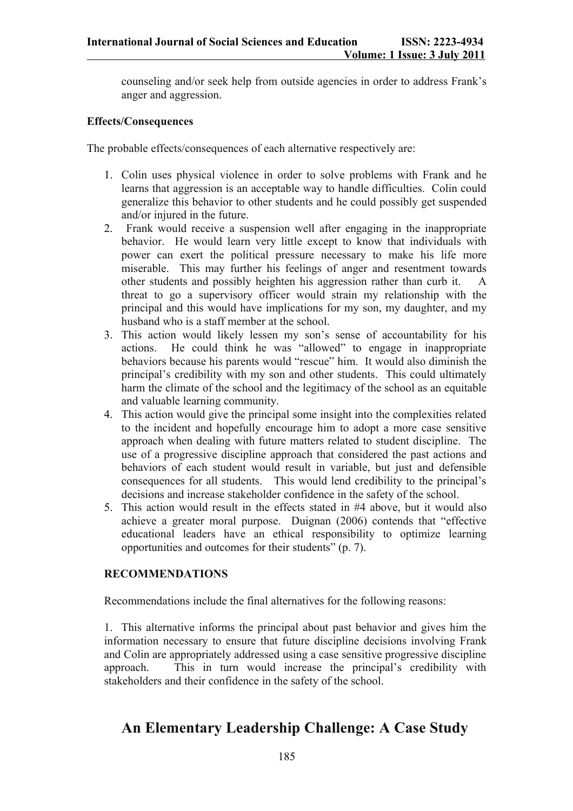counseling and/or seek help from outside agencies in order to address Frank's anger and aggression.

### **Effects/Consequences**

The probable effects/consequences of each alternative respectively are:

- 1. Colin uses physical violence in order to solve problems with Frank and he learns that aggression is an acceptable way to handle difficulties. Colin could generalize this behavior to other students and he could possibly get suspended and/or injured in the future.
- 2. Frank would receive a suspension well after engaging in the inappropriate behavior. He would learn very little except to know that individuals with power can exert the political pressure necessary to make his life more miserable. This may further his feelings of anger and resentment towards other students and possibly heighten his aggression rather than curb it. A threat to go a supervisory officer would strain my relationship with the principal and this would have implications for my son, my daughter, and my husband who is a staff member at the school.
- 3. This action would likely lessen my son's sense of accountability for his actions. He could think he was "allowed" to engage in inappropriate behaviors because his parents would "rescue" him. It would also diminish the principal's credibility with my son and other students. This could ultimately harm the climate of the school and the legitimacy of the school as an equitable and valuable learning community.
- 4. This action would give the principal some insight into the complexities related to the incident and hopefully encourage him to adopt a more case sensitive approach when dealing with future matters related to student discipline. The use of a progressive discipline approach that considered the past actions and behaviors of each student would result in variable, but just and defensible consequences for all students. This would lend credibility to the principal's decisions and increase stakeholder confidence in the safety of the school.
- 5. This action would result in the effects stated in #4 above, but it would also achieve a greater moral purpose. Duignan (2006) contends that "effective educational leaders have an ethical responsibility to optimize learning opportunities and outcomes for their students" (p. 7).

## **RECOMMENDATIONS**

Recommendations include the final alternatives for the following reasons:

1. This alternative informs the principal about past behavior and gives him the information necessary to ensure that future discipline decisions involving Frank and Colin are appropriately addressed using a case sensitive progressive discipline approach. This in turn would increase the principal's credibility with stakeholders and their confidence in the safety of the school.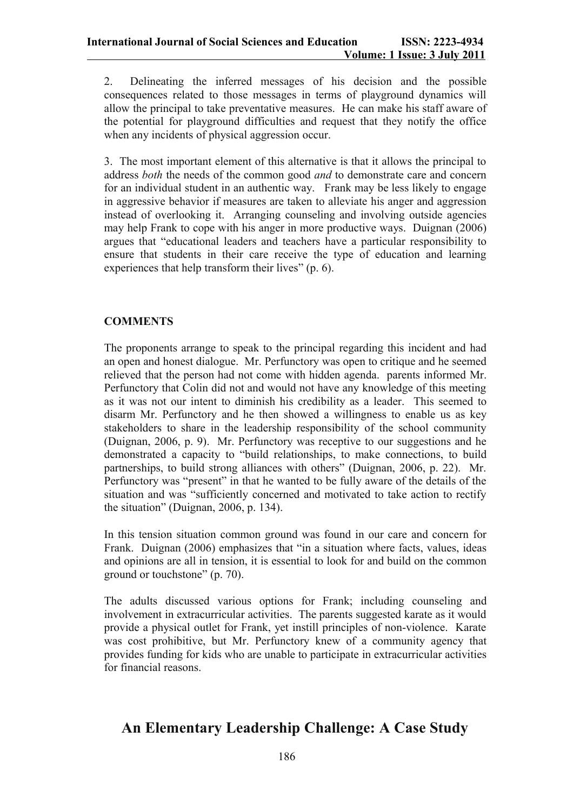2. Delineating the inferred messages of his decision and the possible consequences related to those messages in terms of playground dynamics will allow the principal to take preventative measures. He can make his staff aware of the potential for playground difficulties and request that they notify the office when any incidents of physical aggression occur.

3. The most important element of this alternative is that it allows the principal to address *both* the needs of the common good *and* to demonstrate care and concern for an individual student in an authentic way. Frank may be less likely to engage in aggressive behavior if measures are taken to alleviate his anger and aggression instead of overlooking it. Arranging counseling and involving outside agencies may help Frank to cope with his anger in more productive ways. Duignan (2006) argues that "educational leaders and teachers have a particular responsibility to ensure that students in their care receive the type of education and learning experiences that help transform their lives" (p. 6).

## **COMMENTS**

The proponents arrange to speak to the principal regarding this incident and had an open and honest dialogue. Mr. Perfunctory was open to critique and he seemed relieved that the person had not come with hidden agenda. parents informed Mr. Perfunctory that Colin did not and would not have any knowledge of this meeting as it was not our intent to diminish his credibility as a leader. This seemed to disarm Mr. Perfunctory and he then showed a willingness to enable us as key stakeholders to share in the leadership responsibility of the school community (Duignan, 2006, p. 9). Mr. Perfunctory was receptive to our suggestions and he demonstrated a capacity to "build relationships, to make connections, to build partnerships, to build strong alliances with others" (Duignan, 2006, p. 22). Mr. Perfunctory was "present" in that he wanted to be fully aware of the details of the situation and was "sufficiently concerned and motivated to take action to rectify the situation" (Duignan, 2006, p. 134).

In this tension situation common ground was found in our care and concern for Frank. Duignan (2006) emphasizes that "in a situation where facts, values, ideas and opinions are all in tension, it is essential to look for and build on the common ground or touchstone" (p. 70).

The adults discussed various options for Frank; including counseling and involvement in extracurricular activities. The parents suggested karate as it would provide a physical outlet for Frank, yet instill principles of non-violence. Karate was cost prohibitive, but Mr. Perfunctory knew of a community agency that provides funding for kids who are unable to participate in extracurricular activities for financial reasons.